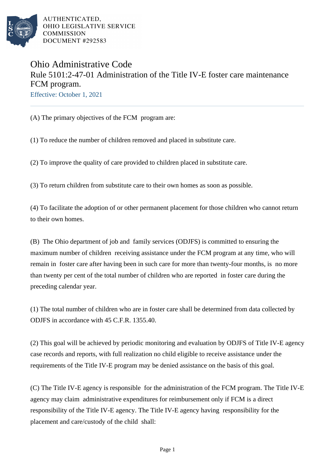

## Ohio Administrative Code Rule 5101:2-47-01 Administration of the Title IV-E foster care maintenance FCM program.

Effective: October 1, 2021

(A) The primary objectives of the FCM program are:

(1) To reduce the number of children removed and placed in substitute care.

(2) To improve the quality of care provided to children placed in substitute care.

(3) To return children from substitute care to their own homes as soon as possible.

(4) To facilitate the adoption of or other permanent placement for those children who cannot return to their own homes.

(B) The Ohio department of job and family services (ODJFS) is committed to ensuring the maximum number of children receiving assistance under the FCM program at any time, who will remain in foster care after having been in such care for more than twenty-four months, is no more than twenty per cent of the total number of children who are reported in foster care during the preceding calendar year.

(1) The total number of children who are in foster care shall be determined from data collected by ODJFS in accordance with 45 C.F.R. 1355.40.

(2) This goal will be achieved by periodic monitoring and evaluation by ODJFS of Title IV-E agency case records and reports, with full realization no child eligible to receive assistance under the requirements of the Title IV-E program may be denied assistance on the basis of this goal.

(C) The Title IV-E agency is responsible for the administration of the FCM program. The Title IV-E agency may claim administrative expenditures for reimbursement only if FCM is a direct responsibility of the Title IV-E agency. The Title IV-E agency having responsibility for the placement and care/custody of the child shall: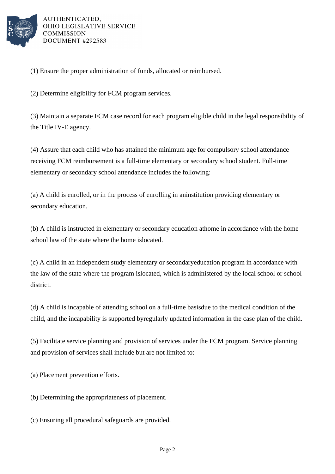

(1) Ensure the proper administration of funds, allocated or reimbursed.

(2) Determine eligibility for FCM program services.

(3) Maintain a separate FCM case record for each program eligible child in the legal responsibility of the Title IV-E agency.

(4) Assure that each child who has attained the minimum age for compulsory school attendance receiving FCM reimbursement is a full-time elementary or secondary school student. Full-time elementary or secondary school attendance includes the following:

(a) A child is enrolled, or in the process of enrolling in an institution providing elementary or secondary education.

(b) A child is instructed in elementary or secondary education at home in accordance with the home school law of the state where the home is located.

(c) A child in an independent study elementary or secondary education program in accordance with the law of the state where the program is located, which is administered by the local school or school district.

(d) A child is incapable of attending school on a full-time basis due to the medical condition of the child, and the incapability is supported by regularly updated information in the case plan of the child.

(5) Facilitate service planning and provision of services under the FCM program. Service planning and provision of services shall include but are not limited to:

(a) Placement prevention efforts.

(b) Determining the appropriateness of placement.

(c) Ensuring all procedural safeguards are provided.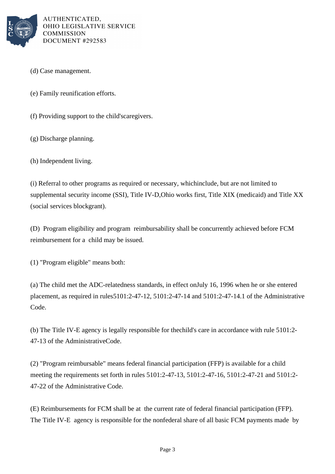

- (d) Case management.
- (e) Family reunification efforts.
- (f) Providing support to the child's caregivers.
- (g) Discharge planning.
- (h) Independent living.

(i) Referral to other programs as required or necessary, which include, but are not limited to supplemental security income (SSI), Title IV-D, Ohio works first, Title XIX (medicaid) and Title XX (social services block grant).

(D) Program eligibility and program reimbursability shall be concurrently achieved before FCM reimbursement for a child may be issued.

(1) "Program eligible" means both:

(a) The child met the ADC-relatedness standards, in effect on July 16, 1996 when he or she entered placement, as required in rules 5101:2-47-12, 5101:2-47-14 and 5101:2-47-14.1 of the Administrative Code.

(b) The Title IV-E agency is legally responsible for the child's care in accordance with rule  $5101:2-$ 47-13 of the Administrative Code.

(2) "Program reimbursable" means federal financial participation (FFP) is available for a child meeting the requirements set forth in rules 5101:2-47-13, 5101:2-47-16, 5101:2-47-21 and 5101:2-47-22 of the Administrative Code.

(E) Reimbursements for FCM shall be at the current rate of federal financial participation (FFP). The Title IV-E agency is responsible for the nonfederal share of all basic FCM payments made by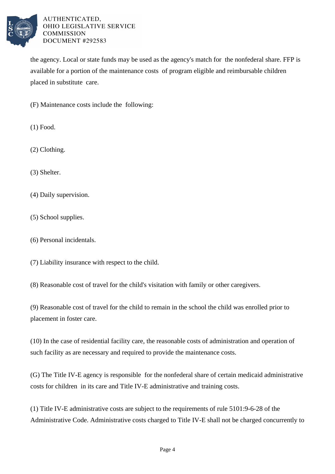

the agency. Local or state funds may be used as the agency's match for the nonfederal share. FFP is available for a portion of the maintenance costs of program eligible and reimbursable children placed in substitute care.

(F) Maintenance costs include the following:

(1) Food.

(2) Clothing.

(3) Shelter.

(4) Daily supervision.

(5) School supplies.

(6) Personal incidentals.

(7) Liability insurance with respect to the child.

(8) Reasonable cost of travel for the child's visitation with family or other caregivers.

(9) Reasonable cost of travel for the child to remain in the school the child was enrolled prior to placement in foster care.

(10) In the case of residential facility care, the reasonable costs of administration and operation of such facility as are necessary and required to provide the maintenance costs.

(G) The Title IV-E agency is responsible for the nonfederal share of certain medicaid administrative costs for children in its care and Title IV-E administrative and training costs.

(1) Title IV-E administrative costs are subject to the requirements of rule 5101:9-6-28 of the Administrative Code. Administrative costs charged to Title IV-E shall not be charged concurrently to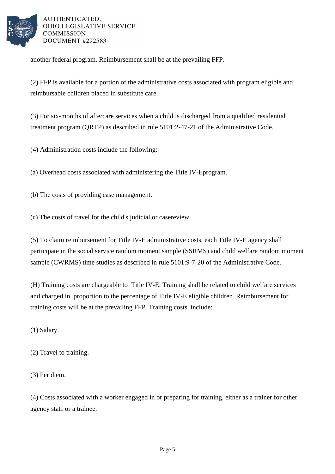

another federal program. Reimbursement shall be at the prevailing FFP.

(2) FFP is available for a portion of the administrative costs associated with program eligible and reimbursable children placed in substitute care.

(3) For six-months of aftercare services when a child is discharged from a qualified residential treatment program (QRTP) as described in rule 5101:2-47-21 of the Administrative Code.

 $(4)$  Administration costs include the following:

(a) Overhead costs associated with administering the Title IV-E program.

(b) The costs of providing case management.

(c) The costs of travel for the child's judicial or case review.

(5) To claim reimbursement for Title IV-E administrative costs, each Title IV-E agency shall participate in the social service random moment sample (SSRMS) and child welfare random moment sample (CWRMS) time studies as described in rule 5101:9-7-20 of the Administrative Code.

(H) Training costs are chargeable to Title IV-E. Training shall be related to child welfare services and charged in proportion to the percentage of Title IV-E eligible children. Reimbursement for training costs will be at the prevailing FFP. Training costs include:

(1) Salary.

- $(2)$  Travel to training.
- (3) Per diem.

(4) Costs associated with a worker engaged in or preparing for training, either as a trainer for other agency staff or a trainee.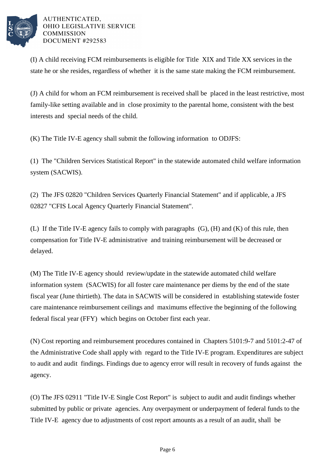

(I) A child receiving FCM reimbursements is eligible for Title XIX and Title XX services in the state he or she resides, regardless of whether it is the same state making the FCM reimbursement.

(J) A child for whom an FCM reimbursement is received shall be placed in the least restrictive, most family-like setting available and in close proximity to the parental home, consistent with the best interests and special needs of the child.

(K) The Title IV-E agency shall submit the following information to ODJFS:

(1) The "Children Services Statistical Report" in the statewide automated child welfare information system (SACWIS).

(2) The JFS 02820 "Children Services Quarterly Financial Statement" and if applicable, a JFS 02827 "CFIS Local Agency Quarterly Financial Statement".

(L) If the Title IV-E agency fails to comply with paragraphs (G), (H) and (K) of this rule, then compensation for Title IV-E administrative and training reimbursement will be decreased or delayed.

(M) The Title IV-E agency should review/update in the statewide automated child welfare information system (SACWIS) for all foster care maintenance per diems by the end of the state fiscal year (June thirtieth). The data in SACWIS will be considered in establishing statewide foster care maintenance reimbursement ceilings and maximums effective the beginning of the following federal fiscal year (FFY) which begins on October first each year.

(N) Cost reporting and reimbursement procedures contained in Chapters 5101:9-7 and 5101:2-47 of the Administrative Code shall apply with regard to the Title IV-E program. Expenditures are subject to audit and audit findings. Findings due to agency error will result in recovery of funds against the agency.

(O) The JFS 02911 "Title IV-E Single Cost Report" is subject to audit and audit findings whether submitted by public or private agencies. Any overpayment or underpayment of federal funds to the Title IV-E agency due to adjustments of cost report amounts as a result of an audit, shall be